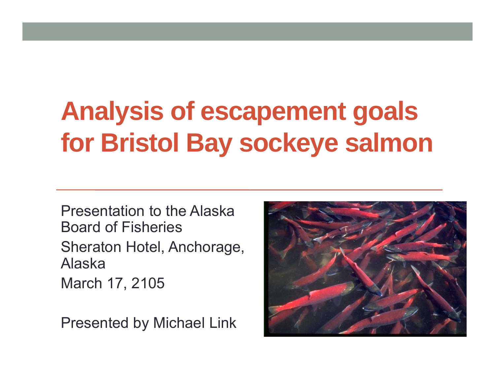# **Analysis of escapement goals for Bristol Bay sockeye salmon**

Presentation to the Alaska Board of FisheriesSheraton Hotel, Anchorage, AlaskaMarch 17, 2105

Presented by Michael Link

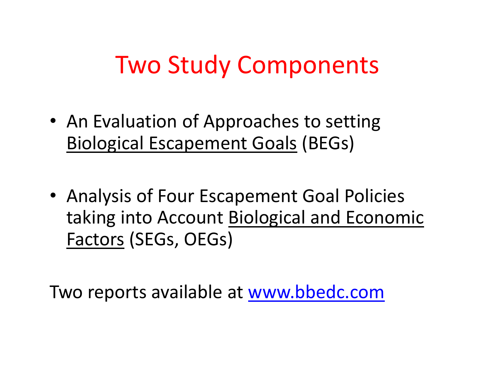## Two Study Components

- An Evaluation of Approaches to setting Biological Escapement Goals (BEGs)
- Analysis of Four Escapement Goal Policies taking into Account Biological and Economic Factors (SEGs, OEGs)

Two reports available at www.bbedc.com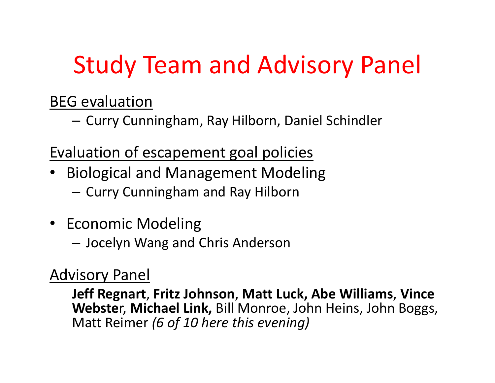# Study Team and Advisory Panel

#### BEG evaluation

–— Curry Cunningham, Ray Hilborn, Daniel Schindler

#### Evaluation of escapement goal policies

- • Biological and Management Modeling
	- – $-$  Curry Cunningham and Ray Hilborn
- Economic Modeling
	- –Jocelyn Wang and Chris Anderson

### Advisory Panel

**Jeff Regnart**, **Fritz Johnson**, **Matt Luck, Abe Williams**, **Vince Webste**r, **Michael Link,** Bill Monroe, John Heins, John Boggs, Matt Reimer *(6 of 10 here this evening)*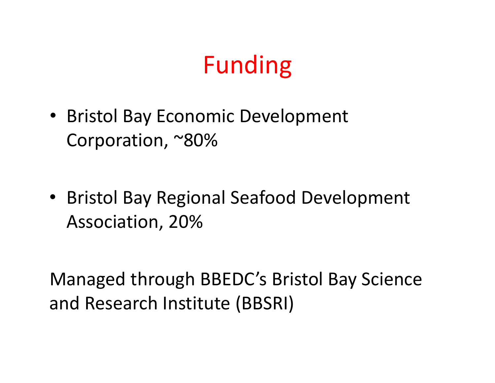# Funding

- Bristol Bay Economic Development Corporation, ~80%
- Bristol Bay Regional Seafood Development Association, 20%

Managed through BBEDC's Bristol Bay Science and Research Institute (BBSRI)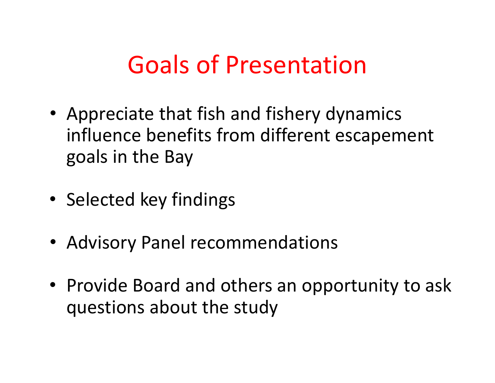## Goals of Presentation

- Appreciate that fish and fishery dynamics influence benefits from different escapement goals in the Bay
- Selected key findings
- Advisory Panel recommendations
- Provide Board and others an opportunity to ask questions about the study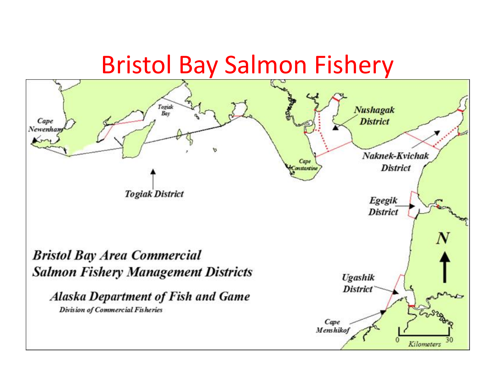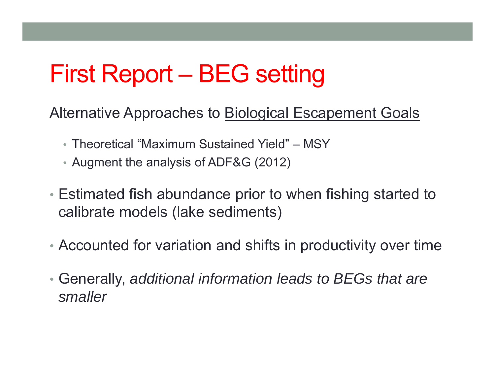## First Report – BEG setting

Alternative Approaches to Biological Escapement Goals

- Theoretical "Maximum Sustained Yield" MSY
- Augment the analysis of ADF&G (2012)
- Estimated fish abundance prior to when fishing started to calibrate models (lake sediments)
- Accounted for variation and shifts in productivity over time
- • Generally, *additional information leads to BEGs that are smaller*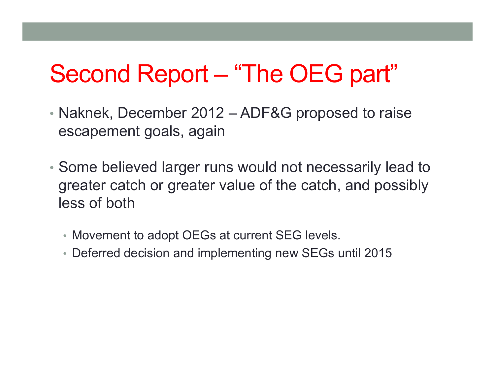## Second Report – "The OEG part"

- Naknek, December 2012 ADF&G proposed to raise escapement goals, again
- Some believed larger runs would not necessarily lead to greater catch or greater value of the catch, and possibly less of both
	- Movement to adopt OEGs at current SEG levels.
	- Deferred decision and implementing new SEGs until 2015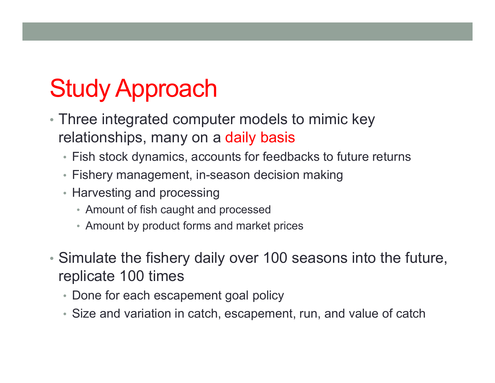# Study Approach

- Three integrated computer models to mimic key relationships, many on a daily basis
	- Fish stock dynamics, accounts for feedbacks to future returns
	- Fishery management, in-season decision making
	- Harvesting and processing
		- Amount of fish caught and processed
		- Amount by product forms and market prices
- Simulate the fishery daily over 100 seasons into the future, replicate 100 times
	- Done for each escapement goal policy
	- Size and variation in catch, escapement, run, and value of catch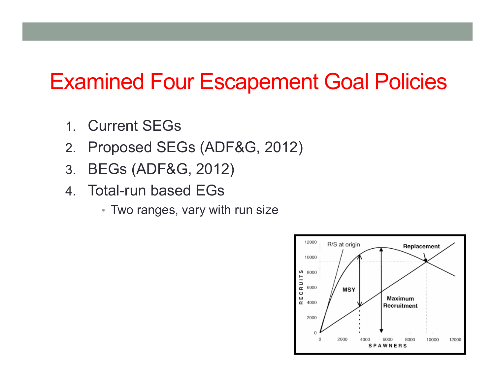### Examined Four Escapement Goal Policies

- 1. Current SEGs
- 2.Proposed SEGs (ADF&G, 2012)
- 3.BEGs (ADF&G, 2012)
- 4. Total-run based EGs
	- Two ranges, vary with run size

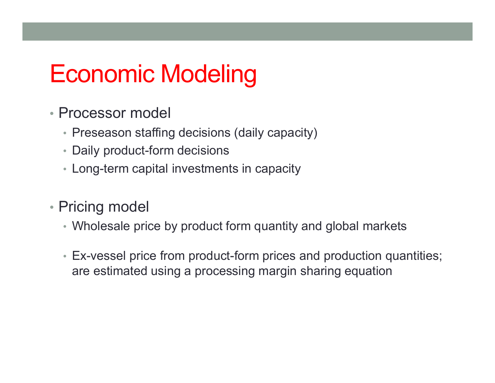## Economic Modeling

- Processor model
	- Preseason staffing decisions (daily capacity)
	- Daily product-form decisions
	- Long-term capital investments in capacity
- Pricing model
	- Wholesale price by product form quantity and global markets
	- Ex-vessel price from product-form prices and production quantities; are estimated using a processing margin sharing equation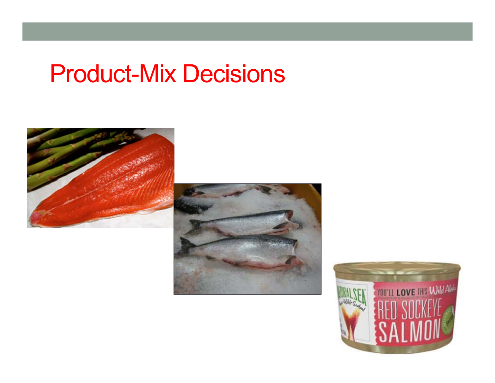## Product-Mix Decisions





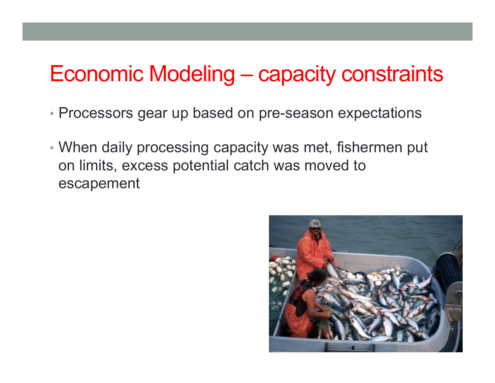### Economic Modeling – capacity constraints

- Processors gear up based on pre-season expectations
- When daily processing capacity was met, fishermen put on limits, excess potential catch was moved to escapement

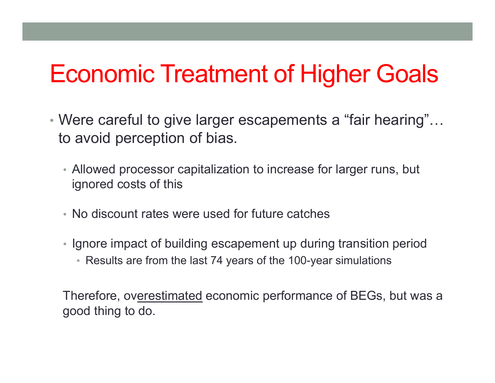## Economic Treatment of Higher Goals

- Were careful to give larger escapements a "fair hearing"… to avoid perception of bias.
	- Allowed processor capitalization to increase for larger runs, but ignored costs of this
	- No discount rates were used for future catches
	- Ignore impact of building escapement up during transition period
		- Results are from the last 74 years of the 100-year simulations

Therefore, overestimated economic performance of BEGs, but was a good thing to do.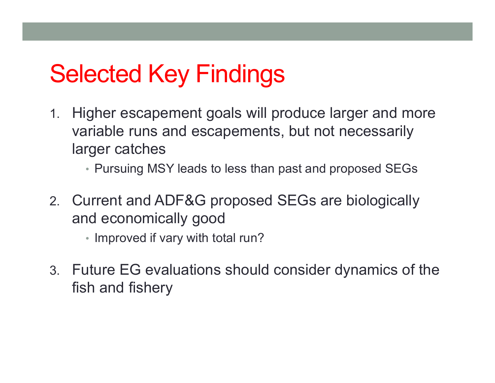## Selected Key Findings

- 1. Higher escapement goals will produce larger and more variable runs and escapements, but not necessarily larger catches
	- Pursuing MSY leads to less than past and proposed SEGs
- 2. Current and ADF&G proposed SEGs are biologically and economically good
	- Improved if vary with total run?
- 3. Future EG evaluations should consider dynamics of the fish and fishery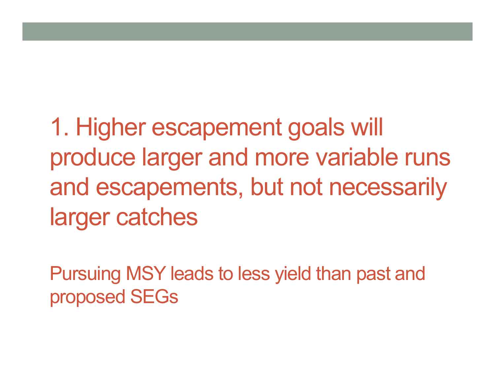1. Higher escapement goals will produce larger and more variable runs and escapements, but not necessarily larger catches

Pursuing MSY leads to less yield than past and proposed SEGs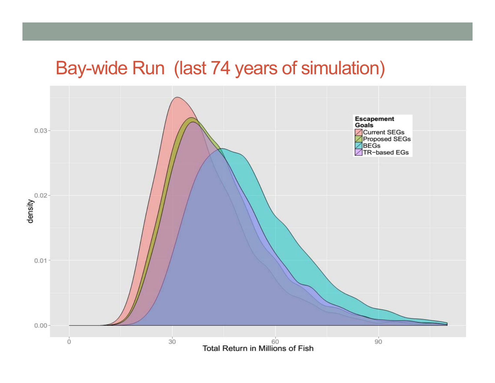### Bay-wide Run (last 74 years of simulation)

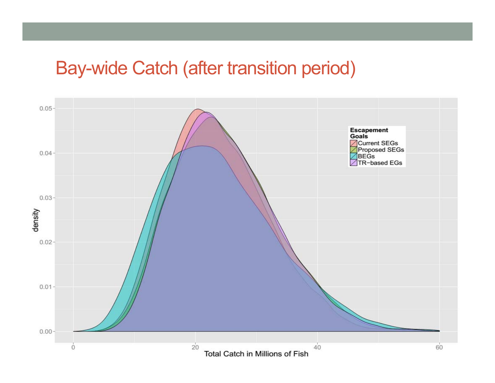### Bay-wide Catch (after transition period)

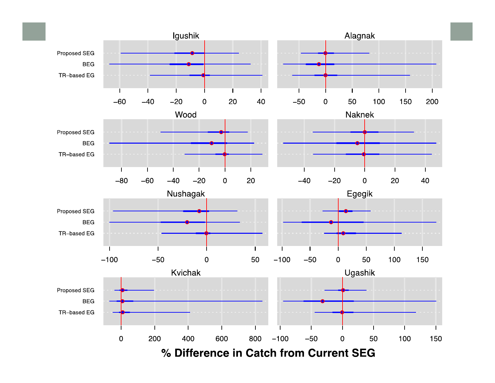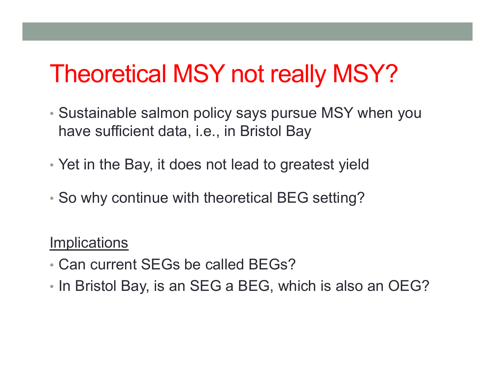## Theoretical MSY not really MSY?

- Sustainable salmon policy says pursue MSY when you have sufficient data, i.e., in Bristol Bay
- Yet in the Bay, it does not lead to greatest yield
- So why continue with theoretical BEG setting?

#### **Implications**

- Can current SEGs be called BEGs?
- In Bristol Bay, is an SEG a BEG, which is also an OEG?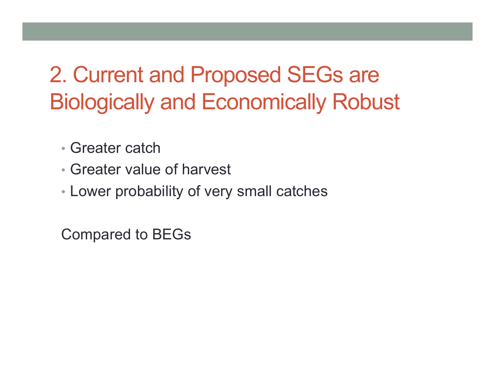## 2. Current and Proposed SEGs are Biologically and Economically Robust

- Greater catch
- Greater value of harvest
- Lower probability of very small catches

Compared to BEGs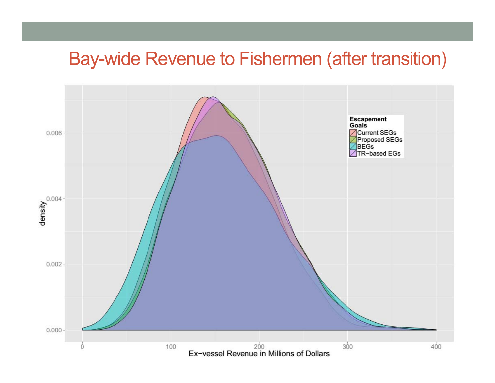### Bay-wide Revenue to Fishermen (after transition)

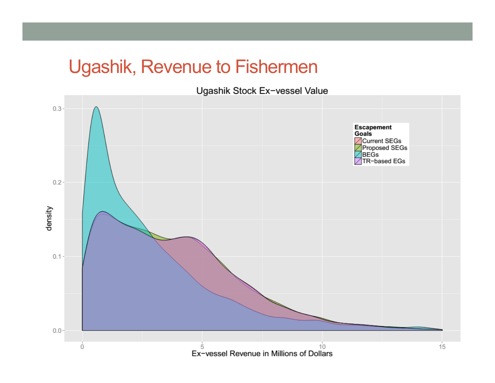### Ugashik, Revenue to Fishermen

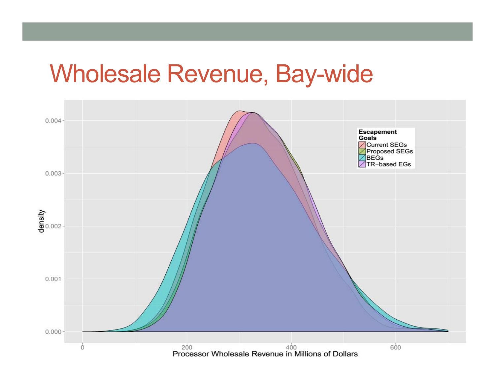### Wholesale Revenue, Bay-wide

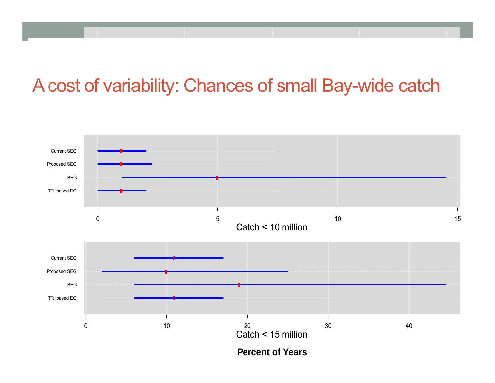### A cost of variability: Chances of small Bay-wide catch

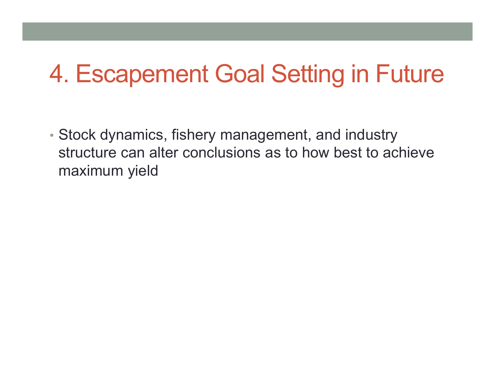## 4. Escapement Goal Setting in Future

• Stock dynamics, fishery management, and industry structure can alter conclusions as to how best to achieve maximum yield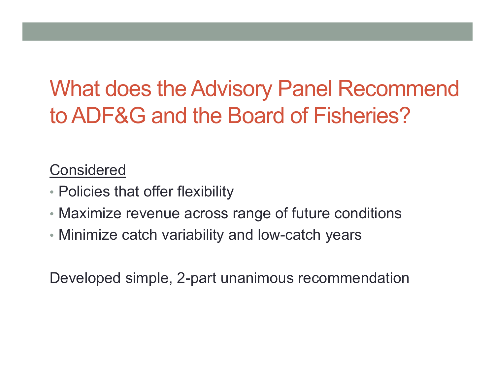## What does the Advisory Panel Recommend to ADF&G and the Board of Fisheries?

#### Considered

- Policies that offer flexibility
- Maximize revenue across range of future conditions
- Minimize catch variability and low-catch years

Developed simple, 2-part unanimous recommendation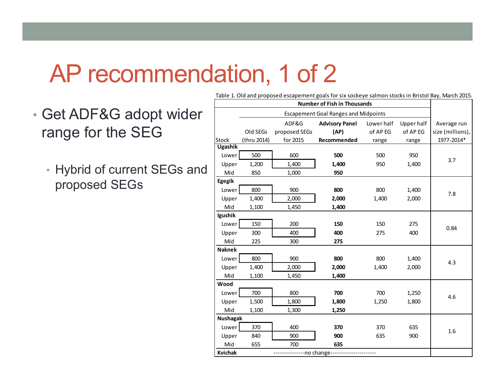### AP recommendation, 1 of 2

- Get ADF&G adopt wider range for the SEG
	- Hybrid of current SEGs and proposed SEGs

|                                           |                                             |               | Table 1. Old and proposed escapement goals for six sockeye salmon stocks in Bristol Bay, March 2015. |            |            |                  |
|-------------------------------------------|---------------------------------------------|---------------|------------------------------------------------------------------------------------------------------|------------|------------|------------------|
| <b>Number of Fish in Thousands</b>        |                                             |               |                                                                                                      |            |            |                  |
|                                           | <b>Escapement Goal Ranges and Midpoints</b> |               |                                                                                                      |            |            |                  |
|                                           |                                             | ADF&G         | <b>Advisory Panel</b>                                                                                | Lower half | Upper half | Average run      |
|                                           | Old SEGs                                    | proposed SEGs | (AP)                                                                                                 | of AP EG   | of AP EG   | size (millions), |
| Stock                                     | (thru 2014)                                 | for 2015      | Recommended                                                                                          | range      | range      | 1977-2014*       |
| <b>Ugashik</b>                            |                                             |               |                                                                                                      |            |            |                  |
| Lower                                     | 500                                         | 600           | 500                                                                                                  | 500        | 950        | 3.7              |
| Upper                                     | 1,200                                       | 1,400         | 1,400                                                                                                | 950        | 1,400      |                  |
| Mid                                       | 850                                         | 1,000         | 950                                                                                                  |            |            |                  |
| Egegik                                    |                                             |               |                                                                                                      |            |            |                  |
| Lower                                     | 800                                         | 900           | 800                                                                                                  | 800        | 1,400      | 7.8              |
| Upper                                     | 1,400                                       | 2,000         | 2,000                                                                                                | 1,400      | 2,000      |                  |
| Mid                                       | 1,100                                       | 1,450         | 1,400                                                                                                |            |            |                  |
| Igushik                                   |                                             |               |                                                                                                      |            |            |                  |
| Lower                                     | 150                                         | 200           | 150                                                                                                  | 150        | 275        | 0.84             |
| Upper                                     | 300                                         | 400           | 400                                                                                                  | 275        | 400        |                  |
| Mid                                       | 225                                         | 300           | 275                                                                                                  |            |            |                  |
| <b>Naknek</b>                             |                                             |               |                                                                                                      |            |            |                  |
| Lower                                     | 800                                         | 900           | 800                                                                                                  | 800        | 1,400      | 4.3              |
| Upper                                     | 1,400                                       | 2,000         | 2,000                                                                                                | 1,400      | 2,000      |                  |
| Mid                                       | 1,100                                       | 1,450         | 1,400                                                                                                |            |            |                  |
| Wood                                      |                                             |               |                                                                                                      |            |            |                  |
| Lower                                     | 700                                         | 800           | 700                                                                                                  | 700        | 1,250      | 4.6              |
| Upper                                     | 1,500                                       | 1,800         | 1,800                                                                                                | 1,250      | 1,800      |                  |
| Mid                                       | 1,100                                       | 1,300         | 1,250                                                                                                |            |            |                  |
| <b>Nushagak</b>                           |                                             |               |                                                                                                      |            |            |                  |
| Lower                                     | 370                                         | 400           | 370                                                                                                  | 370        | 635        | 1.6              |
| Upper                                     | 840                                         | 900           | 900                                                                                                  | 635        | 900        |                  |
| Mid                                       | 655                                         | 700           | 635                                                                                                  |            |            |                  |
| <b>Kvichak</b><br>--------no change------ |                                             |               |                                                                                                      |            |            |                  |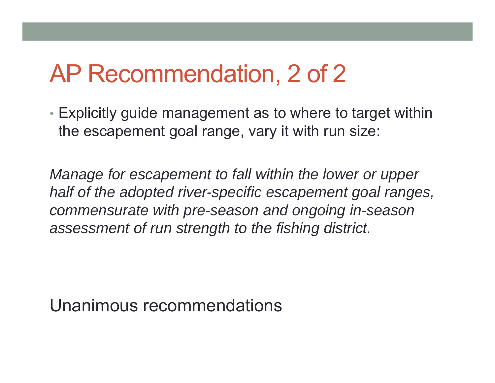## AP Recommendation, 2 of 2

• Explicitly guide management as to where to target within the escapement goal range, vary it with run size:

*Manage for escapement to fall within the lower or upper half of the adopted river-specific escapement goal ranges, commensurate with pre-season and ongoing in-season assessment of run strength to the fishing district.*

Unanimous recommendations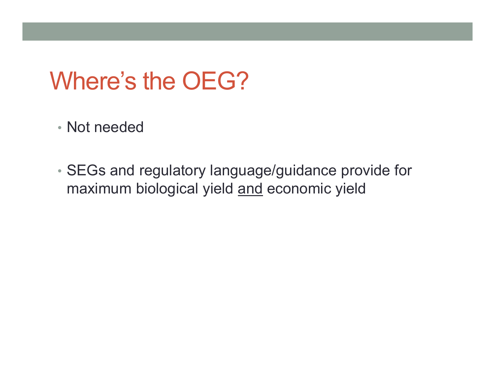## Where's the OEG?

- Not needed
- SEGs and regulatory language/guidance provide for maximum biological yield and economic yield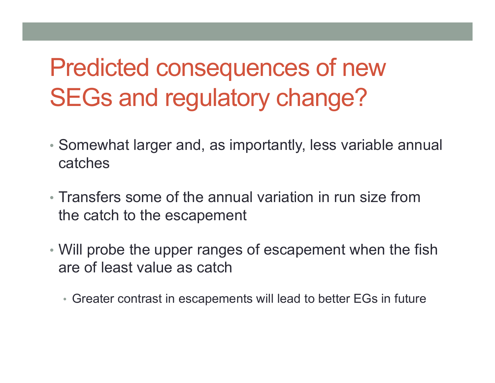# Predicted consequences of new SEGs and regulatory change?

- Somewhat larger and, as importantly, less variable annual catches
- Transfers some of the annual variation in run size from the catch to the escapement
- Will probe the upper ranges of escapement when the fish are of least value as catch
	- Greater contrast in escapements will lead to better EGs in future